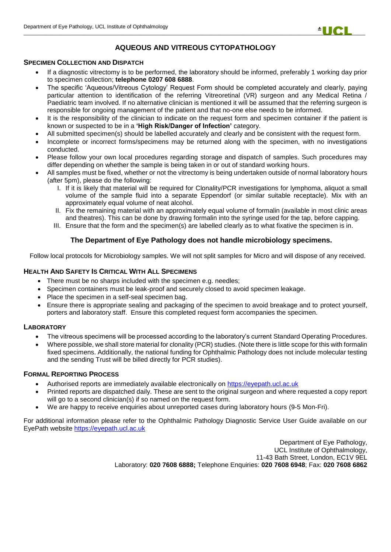

# **AQUEOUS AND VITREOUS CYTOPATHOLOGY**

#### **SPECIMEN COLLECTION AND DISPATCH**

- If a diagnostic vitrectomy is to be performed, the laboratory should be informed, preferably 1 working day prior to specimen collection; **telephone 0207 608 6888**.
- The specific 'Aqueous/Vitreous Cytology' Request Form should be completed accurately and clearly, paying particular attention to identification of the referring Vitreoretinal (VR) surgeon and any Medical Retina / Paediatric team involved. If no alternative clinician is mentioned it will be assumed that the referring surgeon is responsible for ongoing management of the patient and that no-one else needs to be informed.
- It is the responsibility of the clinician to indicate on the request form and specimen container if the patient is known or suspected to be in a **'High Risk/Danger of Infection'** category.
- All submitted specimen(s) should be labelled accurately and clearly and be consistent with the request form.
- Incomplete or incorrect forms/specimens may be returned along with the specimen, with no investigations conducted.
- Please follow your own local procedures regarding storage and dispatch of samples. Such procedures may differ depending on whether the sample is being taken in or out of standard working hours.
- All samples must be fixed, whether or not the vitrectomy is being undertaken outside of normal laboratory hours (after 5pm), please do the following:
	- I. If it is likely that material will be required for Clonality/PCR investigations for lymphoma, aliquot a small volume of the sample fluid into a separate Eppendorf (or similar suitable receptacle). Mix with an approximately equal volume of neat alcohol.
	- II. Fix the remaining material with an approximately equal volume of formalin (available in most clinic areas and theatres). This can be done by drawing formalin into the syringe used for the tap, before capping.
	- III. Ensure that the form and the specimen(s) are labelled clearly as to what fixative the specimen is in.

# **The Department of Eye Pathology does not handle microbiology specimens.**

Follow local protocols for Microbiology samples. We will not split samples for Micro and will dispose of any received.

### **HEALTH AND SAFETY IS CRITICAL WITH ALL SPECIMENS**

- There must be no sharps included with the specimen e.g. needles;
- Specimen containers must be leak-proof and securely closed to avoid specimen leakage.
- Place the specimen in a self-seal specimen bag.
- Ensure there is appropriate sealing and packaging of the specimen to avoid breakage and to protect yourself, porters and laboratory staff. Ensure this completed request form accompanies the specimen.

## **LABORATORY**

- The vitreous specimens will be processed according to the laboratory's current Standard Operating Procedures.
- Where possible, we shall store material for clonality (PCR) studies. (Note there is little scope for this with formalin fixed specimens. Additionally, the national funding for Ophthalmic Pathology does not include molecular testing and the sending Trust will be billed directly for PCR studies).

#### **FORMAL REPORTING PROCESS**

- Authorised reports are immediately available electronically on [https://eyepath.ucl.ac.uk](https://eyepath.ucl.ac.uk/)
- Printed reports are dispatched daily. These are sent to the original surgeon and where requested a copy report will go to a second clinician(s) if so named on the request form.
- We are happy to receive enquiries about unreported cases during laboratory hours (9-5 Mon-Fri).

For additional information please refer to the Ophthalmic Pathology Diagnostic Service User Guide available on our EyePath website [https://eyepath.ucl.ac.uk](https://eyepath.ucl.ac.uk/)

> Department of Eye Pathology, UCL Institute of Ophthalmology, 11-43 Bath Street, London, EC1V 9EL Laboratory: **020 7608 6888;** Telephone Enquiries: **020 7608 6948**; Fax: **020 7608 6862**